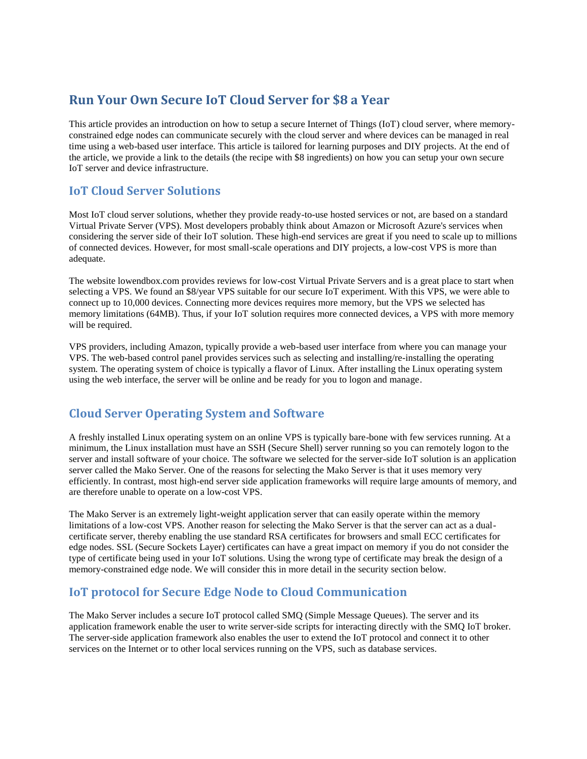# **Run Your Own Secure IoT Cloud Server for \$8 a Year**

This article provides an introduction on how to setup a secure Internet of Things (IoT) cloud server, where memoryconstrained edge nodes can communicate securely with the cloud server and where devices can be managed in real time using a web-based user interface. This article is tailored for learning purposes and DIY projects. At the end of the article, we provide a link to the details (the recipe with \$8 ingredients) on how you can setup your own secure IoT server and device infrastructure.

#### **IoT Cloud Server Solutions**

Most IoT cloud server solutions, whether they provide ready-to-use hosted services or not, are based on a standard Virtual Private Server (VPS). Most developers probably think about Amazon or Microsoft Azure's services when considering the server side of their IoT solution. These high-end services are great if you need to scale up to millions of connected devices. However, for most small-scale operations and DIY projects, a low-cost VPS is more than adequate.

The website lowendbox.com provides reviews for low-cost Virtual Private Servers and is a great place to start when selecting a VPS. We found an \$8/year VPS suitable for our secure IoT experiment. With this VPS, we were able to connect up to 10,000 devices. Connecting more devices requires more memory, but the VPS we selected has memory limitations (64MB). Thus, if your IoT solution requires more connected devices, a VPS with more memory will be required.

VPS providers, including Amazon, typically provide a web-based user interface from where you can manage your VPS. The web-based control panel provides services such as selecting and installing/re-installing the operating system. The operating system of choice is typically a flavor of Linux. After installing the Linux operating system using the web interface, the server will be online and be ready for you to logon and manage.

## **Cloud Server Operating System and Software**

A freshly installed Linux operating system on an online VPS is typically bare-bone with few services running. At a minimum, the Linux installation must have an SSH (Secure Shell) server running so you can remotely logon to the server and install software of your choice. The software we selected for the server-side IoT solution is an application server called the Mako Server. One of the reasons for selecting the Mako Server is that it uses memory very efficiently. In contrast, most high-end server side application frameworks will require large amounts of memory, and are therefore unable to operate on a low-cost VPS.

The Mako Server is an extremely light-weight application server that can easily operate within the memory limitations of a low-cost VPS. Another reason for selecting the Mako Server is that the server can act as a dualcertificate server, thereby enabling the use standard RSA certificates for browsers and small ECC certificates for edge nodes. SSL (Secure Sockets Layer) certificates can have a great impact on memory if you do not consider the type of certificate being used in your IoT solutions. Using the wrong type of certificate may break the design of a memory-constrained edge node. We will consider this in more detail in the security section below.

## **IoT protocol for Secure Edge Node to Cloud Communication**

The Mako Server includes a secure IoT protocol called SMQ (Simple Message Queues). The server and its application framework enable the user to write server-side scripts for interacting directly with the SMQ IoT broker. The server-side application framework also enables the user to extend the IoT protocol and connect it to other services on the Internet or to other local services running on the VPS, such as database services.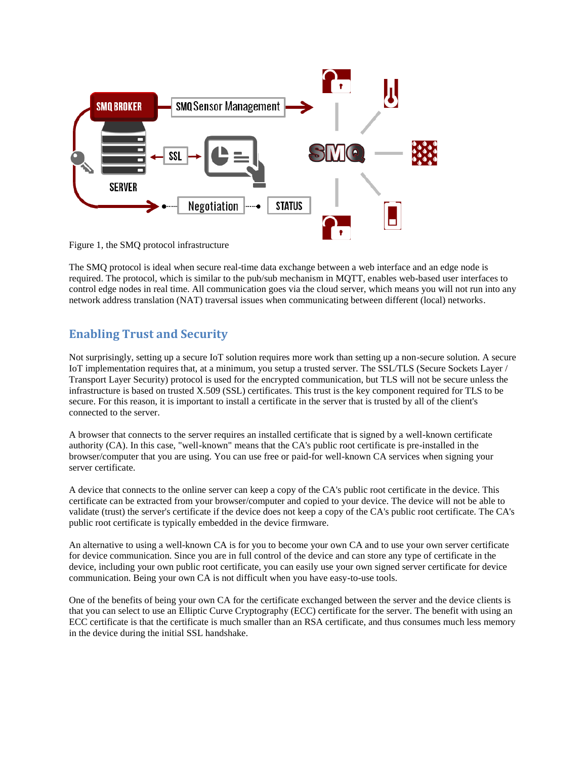

Figure 1, the SMQ protocol infrastructure

The SMQ protocol is ideal when secure real-time data exchange between a web interface and an edge node is required. The protocol, which is similar to the pub/sub mechanism in MQTT, enables web-based user interfaces to control edge nodes in real time. All communication goes via the cloud server, which means you will not run into any network address translation (NAT) traversal issues when communicating between different (local) networks.

# **Enabling Trust and Security**

Not surprisingly, setting up a secure IoT solution requires more work than setting up a non-secure solution. A secure IoT implementation requires that, at a minimum, you setup a trusted server. The SSL/TLS (Secure Sockets Layer / Transport Layer Security) protocol is used for the encrypted communication, but TLS will not be secure unless the infrastructure is based on trusted X.509 (SSL) certificates. This trust is the key component required for TLS to be secure. For this reason, it is important to install a certificate in the server that is trusted by all of the client's connected to the server.

A browser that connects to the server requires an installed certificate that is signed by a well-known certificate authority (CA). In this case, "well-known" means that the CA's public root certificate is pre-installed in the browser/computer that you are using. You can use free or paid-for well-known CA services when signing your server certificate.

A device that connects to the online server can keep a copy of the CA's public root certificate in the device. This certificate can be extracted from your browser/computer and copied to your device. The device will not be able to validate (trust) the server's certificate if the device does not keep a copy of the CA's public root certificate. The CA's public root certificate is typically embedded in the device firmware.

An alternative to using a well-known CA is for you to become your own CA and to use your own server certificate for device communication. Since you are in full control of the device and can store any type of certificate in the device, including your own public root certificate, you can easily use your own signed server certificate for device communication. Being your own CA is not difficult when you have easy-to-use tools.

One of the benefits of being your own CA for the certificate exchanged between the server and the device clients is that you can select to use an Elliptic Curve Cryptography (ECC) certificate for the server. The benefit with using an ECC certificate is that the certificate is much smaller than an RSA certificate, and thus consumes much less memory in the device during the initial SSL handshake.